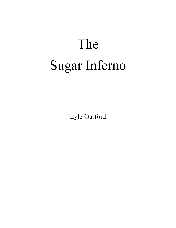## The Sugar Inferno

Lyle Garford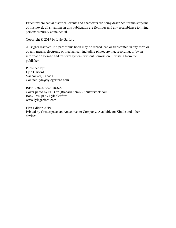Except where actual historical events and characters are being described for the storyline of this novel, all situations in this publication are fictitious and any resemblance to living persons is purely coincidental.

Copyright © 2019 by Lyle Garford

All rights reserved. No part of this book may be reproduced or transmitted in any form or by any means, electronic or mechanical, including photocopying, recording, or by an information storage and retrieval system, without permission in writing from the publisher.

Published by: Lyle Garford Vancouver, Canada Contact: lyle@lylegarford.com

ISBN 978-0-9952078-6-8 Cover photo by PHB.cz (Richard Semik)/Shutterstock.com Book Design by Lyle Garford www.lylegarford.com

First Edition 2019 Printed by Createspace, an Amazon.com Company. Available on Kindle and other devices.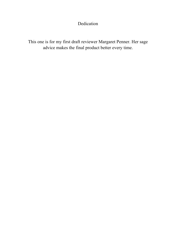## Dedication

This one is for my first draft reviewer Margaret Penner. Her sage advice makes the final product better every time.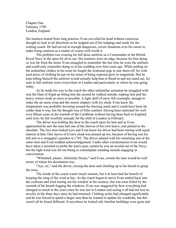Chapter One February 1798 London, England

His instincts honed from long practice, Evan swiveled his head without conscious thought to look in all directions as he stepped out of his lodgings and made for the waiting coach. He had served in enough dangerous, covert situations over his career to make being cautious as a matter of course well worth it.

The problem was wearing his full dress uniform as a Commander in the British Royal Navy in the open for all to see. His instincts were on edge, because for him doing so was far from the norm. Evan struggled to remember the last time he wore the uniform and could only remember doing so at his wedding over four years ago. While pulling on the unfamiliar clothes in his room he fought the irrational urge to tear them off, for with each piece of clothing he put on his sense of being exposed grew in magnitude. But he kept telling himself the uniform would actually help him to blend in and not stand out, for men in full uniform were everywhere in London and particularly so where he was going today.

As he made his way to the coach the other unfamiliar sensation he struggled with was the blast of frigid air biting him the second he walked outside, making him pull his heavy winter cloak as close as possible. A light skiff of snow fell overnight, enough to make the air seem crisp and the streets slippery with icy slush. Evan knew the temperature was probably hovering around the freezing mark and it could have been far colder than it was, but the thought was of little comfort. Having been stationed for well over fifteen years in the warmth of the Caribbean without having been back to England until now, he felt woefully unready for the chill of London in February.

The driver was holding the door to the coach open for him and as Evan approached he saw the man had one of the sleeves of his own heavy coat pinned to the shoulder. The two men locked eyes and Evan knew his driver had been staring with equal interest at him. One sleeve of Evan's cloak was pinned up too, because of having lost his left arm to a smuggler's gunshot in 1783. The driver saluted with his remaining arm at the same time and Evan nodded acknowledgement. Under other circumstances Evan would have taken a moment to probe the man's past, certain he was an invalid out of the Navy, but the light wind was far too biting to contemplate standing outside engaging in conversation.

"Whitehall, please. Admiralty House," said Evan, certain the man would be well aware of where his destination was.

"Aye, sir," said the driver, closing the door and climbing up to his bench to grasp the reins.

The inside of the coach wasn't much warmer, but it at least had the benefit of keeping the sting of the wind at bay. As the coach began to move Evan settled back into the cushions and tried staring out the window at the scenery, but was soon foiled by the warmth of his breath fogging the windows. Evan was staggered by how everything had changed so much in the years since he was last in London and seeing it all had not lost its novelty in the three days since he had returned. Clothing styles had changed significantly and he was forced to spend a larger sum than he wanted to update his wardrobe, but this wasn't all he found different. Everywhere he looked old, familiar buildings were gone and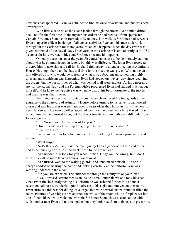new ones had appeared. Evan was stunned to find his once favorite inn and pub was now a warehouse.

With little else to do as the coach jostled through the streets Evan's mind drifted back, not for the first time, to the mysterious orders he had received from spymaster Captain Sir James Standish in Barbados. Evan knew him well, as Sir James had served as Evan's superior officer in charge of all covert activities Evan and his men undertook throughout the Caribbean for many years. Much had happened since the day Evan was given command of the Royal Navy Dockyard on the Caribbean island of Antigua in 1784 as cover for his covert activities and Sir James became his superior.

On many occasions over the years Sir James had cause to be deliberately cautious about what he communicated in letters, but this was different. The letter Evan received ordered him to take ship and sail for England right away to attend a meeting at Admiralty House. Nothing other than the date and time for the meeting was given. With not even a hint offered as to who would be present or what it was about meant something highly unusual and significant was happening. Evan had stewed on it every day since receiving the orders, but the possibilities of what was behind it all were endless. As his career as a spy for the Royal Navy and the Foreign Office progressed Evan had learned much about himself and he knew being active was when he was at his best. Fortunately, the inactivity and waiting was finally over.

Ten minutes later Evan alighted from the coach and eyed the two guards at the entrance to the courtyard of Admiralty House before turning to his driver. Evan looked closer and saw his driver was perhaps twenty years older than his own thirty-five years of age. He also saw the man's clothes appeared well worn and seemed a little frayed. Evan tipped him well and turned to go, but the driver forestalled him with eyes still wide from Evan's generosity.

"Sir? Would you like me to wait for you?"

"Hmm, I can't say how long I'm going to be here, you understand."

"I can wait, sir."

Evan stared at him for a long moment before offering the man a grim smile and replying.

"What ship?"

"*HMS Worcester*, sir," said the man, giving Evan a gap-toothed grin and a side nod to his missing arm. "Lost this back in '83 to the Frenchies."

Evan nodded. "I'll look for you when I finish. I may well be wrong, but I don't think this will be more than an hour or two at most."

Evan turned, went to the waiting guards, and announced himself. The one in charge nodded on hearing the name and looking carefully at the uniform Evan was wearing underneath the cloak.

"Sir, you are expected. The entrance is through the courtyard on your left."

A well-dressed servant met Evan inside a small outer alcove and took his coat. Once Evan finished straightening his uniform he was ushered further into an inner reception hall past a wonderful, grand staircase to his right and into yet another room. Evan surmised this was for dining, as a large table with several chairs around it filled the room. Pictures of warships at sea adorned the walls of the room while a fireplace set into one of them blazed with welcome warmth. Sir James Standish was seated at the table with another man Evan did not recognize, but they both rose from their seats to greet him.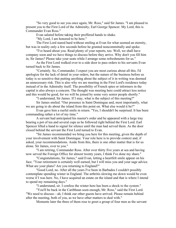"So very good to see you once again, Mr. Ross," said Sir James. "I am pleased to present you to the First Lord of the Admiralty, Earl George Spencer. My Lord, this is Commander Evan Ross."

Evan saluted before taking their proffered hands to shake.

"My Lord, I am honored to be here."

The First Lord stared hard without smiling at Evan for what seemed an eternity, but was in reality only a few seconds before he grunted noncommittally and spoke.

"I've heard about you. Read plenty of your reports, too. Well, we shall have company soon and we have things to discuss before they arrive. Why don't you fill him in, Sir James? Please take your seats while I arrange some refreshments for us."

As the First Lord walked over to a side door to pass orders to his servants Evan turned back to Sir James.

"Certainly. So, Commander, I expect you are most curious about all this. I'd apologize for the lack of detail in your orders, but the nature of the business before us today is so sensitive that putting anything about the subject of it in writing was deemed an unnecessary risk. This is also why we are meeting in the First Lord's residence today instead of in the Admiralty itself. The possibility of French spies or informers in the capital is also always a concern. The thought was meeting here could attract less notice and this would be good, for we will be joined by some very senior people shortly."

"I understand, Sir James. If I may, what is the subject of this meeting?"

Sir James smiled. "Our presence in Saint Domingue and, most importantly, what we are going to do about the island from this point on. What else would it be?"

Evan gave him a rueful smile in return. "Yes, I shouldn't be surprised. It has been commanding rather a lot of my time."

A servant had anticipated his master's order and he appeared with a large tray bearing a pot of tea and several cups as he followed right behind the First Lord. Earl Spencer lifted a hand to signal for silence until the man had served them. As the door closed behind the servant the First Lord turned to Evan.

"Sir James recommended we bring you here for this meeting, given the depth of your involvement with Saint Domingue. Your role here is to provide context and, if asked, your recommendations. Aside from this, there is one other matter that is for us alone. Sir James, over to you."

"I am retiring, Commander Ross. After over thirty five years at sea and having now served the Foreign Office for almost twenty years, I think I've done my share."

"Congratulations, Sir James," said Evan, letting a heartfelt smile appear on his face. "Your retirement is certainly well earned, but I will miss you and your sage advice. What are your plans? Are you returning to England?"

"Good Lord, no. After all the years I've been in Barbados I couldn't possibly contemplate spending winter in England. The arthritis slowing me down would be even worse if I was here. No, I have acquired an estate on the island and that is where I intend to spend my remaining days."

"I understand, sir. I confess the winter here has been a shock to the system."

"You'll be back in the Caribbean soon enough, Mr. Ross," said the First Lord. "We need to discuss—ah, I think our other guests have arrived. Please remain behind after the meeting, both of you, as we have other matters to deal with."

Moments later the three of them rose to greet a group of four men as the servant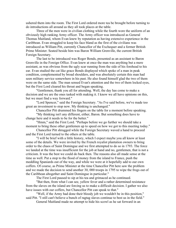ushered them into the room. The First Lord ordered more tea be brought before turning to do introductions all around as they all took places at the table.

Three of the men were in civilian clothing while the fourth wore the uniform of an obviously high ranking Army officer. The Army officer was introduced as General Thomas Maitland, whom Evan knew by reputation as having extensive experience in the Caribbean. Evan struggled to keep his face bland as the first of the civilians was introduced as William Pitt, currently Chancellor of the Exchequer and a former British Prime Minister. Seated beside him was Baron William Grenville, the current British Foreign Secretary.

The last to be introduced was Roger Bonds, presented as an assistant to Baron Grenville in the Foreign Office. Evan knew at once the man was anything but a mere assistant, as was obvious from the ugly scar running from the side of his forehead to his ear. Evan studied the cat like grace Bonds displayed which spoke of a man in peak condition, complemented by broad shoulders, and was absolutely certain this man had seen military service somewhere in his past. He also found himself glad the two of them were on the same side. The man sensed Evan's attention and the two of them locked eyes, but the First Lord cleared his throat and began speaking.

"Gentlemen, thank you all for attending. Well, the day has come to make a decision and we are the ones tasked with making it. I know we all have opinions on this, but we must find a way forward."

"Lord Spencer," said the Foreign Secretary. "As I've said before, we've made too great an investment to stop now. My thinking is unchanged."

Chancellor Pitt drummed his fingers on the table for a moment before speaking.

"My thinking isn't any different, either, Baron. But something does have to change here and it needs to be for the better."

"Hmm," said the First Lord. "Perhaps before we go further we should take a moment to bring these other gentlemen up to speed on how we got to this meeting today."

Chancellor Pitt shrugged while the Foreign Secretary waved a hand to proceed and the First Lord turned to the others at the table.

"I will be brief with a little history, which I expect maybe you all know at least some of the details. We were invited by the French royalist plantation owners to bring order to the chaos of Saint Domingue and we first attempted to do so in 1793. The force we landed at the time was insufficient for the job at hand and no, gentlemen, that is not a criticism. It was the best we could do back then. The reasons also all made sense at the time as well. Put a stop to the flood of money from the island to France, push the meddling Spaniards out of the way, and while we were at it hopefully add to our own coffers. Of course, as Prime Minister at the time Chancellor Pitt here saw the problem and we made the decision to send another 30, 000 troops in 1795 to wipe the frogs out of the Caribbean altogether and Saint Domingue in particular."

The First Lord paused to sip at his tea and grimaced as he continued.

"But then, from what I can see, yellow fever and a rather determined resistance from the slaves on the island are forcing us to make a difficult decision. I gather we also have issues with our coffers, but Chancellor Pitt can speak to that."

"Well, if the Army had done their bloody job we wouldn't be in this position," said Pitt. "I still can't believe a bunch of ragtag slaves continue to best us in the field."

General Maitland made no attempt to hide his scowl as he sat forward in an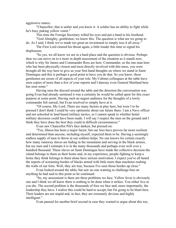aggressive stance.

"Chancellor, that is unfair and you know it. A soldier has no ability to fight while he's busy puking yellow vomit."

This time the Foreign Secretary rolled his eyes and put a hand to his forehead.

"God Almighty, gentlemen, we know this. The question is what are we going to do. As I said, I think we've made too great an investment to simply toss it all away."

The First Lord cleared his throat again, a little louder this time to signal his displeasure.

"So yes, we all know we are in a hard place and the question is obvious. Perhaps then we can move on to a more in depth assessment of the situation as it stands now, which is why Sir James and Commander Ross are here. Commander, as the one man here who has been physically closest and most directly involved with this mess, you were brought all the way here to give us your first hand thoughts on where we stand in Saint Domingue and this is perhaps a good point to have you do that. So you know, these gentlemen are aware of all aspects of your role. My Cabinet colleagues at the table have seen copies of more than a few of your reports and I daresay even General Maitland here has seen some."

Having seen the discord around the table and the direction the conversation was going Evan had already surmised it was a certainty he would be called upon for this exact purpose at some point. Having such an august audience for the thoughts of a lowly commander felt surreal, but Evan resolved to simply have at it.

"Of course, My Lord. There are many factors at play here, but were I to be pressed I don't think I could be very optimistic about our future there. I am a Navy officer and not schooled in land based military tactics, so I cannot speak to whether better military decisions could have been made. I will say I respect the men on the ground and I think they have done the best they could in difficult circumstances."

Evan saw Chancellor Pitt's face darken, but pressed on.

"Yes, illness has been a major factor, but our foes have proven far more resilient and determined than anyone, including myself, expected them to be. Having a seemingly endless supply of men to throw at our soldiers helps. No one knows for certain exactly how many runaway slaves are hiding in the mountains and serving in the black armies, but my men and I estimate it is in the many thousands and perhaps even well over a hundred thousand. These slaves on Saint Domingue have made the collective decision the island belongs to them as their home and, in my experience, people fighting to keep a home they think belongs to them alone have serious motivation. I expect you've all heard the reports of screaming hordes of blacks armed with little more than machetes rushing the walls of our forts. Well, they are true, because I've seen those hordes up close."

Evan looked around the table, but saw no one wanting to challenge him on anything he had said to this point so he continued.

"So, my assessment is there are three problems we face. Yellow fever is obviously one and I think we all know there is nothing to be done when it strikes. You either live or you die. The second problem is the thousands of foes we face and, more importantly, the leadership they have. I realize this could be hard to accept, but I'm going to be blunt here. Their leaders are not stupid and, in fact, they are extremely devious and highly intelligent."

Evan paused for another brief second in case they wanted to argue about this too,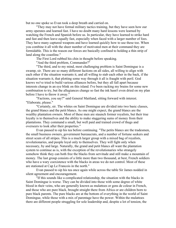but no one spoke so Evan took a deep breath and carried on.

"They may not have formal military tactics training, but they have seen how our army operates and learned fast. I have no doubt many hard lessons were learned by watching the French and Spanish before us. In particular, they have learned to strike hard and fast and then leave equally fast, especially when faced with a larger number of foes. They have many captured weapons and have learned quickly how to use these too. When you combine it all with the sheer number of motivated men at their command they are formidable. This is the reason our forces are basically confined to holding a thin strip of land along the coastline."

The First Lord rubbed his chin in thought before speaking.

"And the third problem, Commander?"

"The third, and to my mind, most challenging problem is Saint Domingue is a swamp, sir. There are so many different factions on all sides, all willing to align with each other if the situation warrants it, and all willing to stab each other in the back, if the situation warrants it, that plotting some way through it all is fraught with peril. God knows we've tried to build various alliances before, but they all fall apart because interests change in an eye blink on this island. I've been racking my brains for some new combination to try, but the allegiances change so fast the ink hasn't even dried on my plan before I have to throw it away."

"Factions, you say?" said General Maitland, sitting forward with interest. "Elaborate, please."

"Certainly, sir. The whites on Saint Domingue are divided into two basic classes, the grand blancs and the petit blancs. As one might expect, the grand blancs are the wealthy plantation owners. Most of these men are staunch former royalists, but their true loyalty is to themselves and the ability to make staggering sums of money from their plantations. They command a small, but well paid and trained crowd of thugs and overseers to look after their properties."

Evan paused to sip his tea before continuing. "The petits blancs are the tradesmen, the small business owners, government bureaucrats, and a number of fortune seekers and street scum of all stripes. This is a much larger group with a mixed bag of royalists, revolutionaries, and people loyal only to themselves. They will fight only when necessary, by and large. Naturally, the grand and petit blancs all want the plantation system to continue as is, with the exception of the revolutionaries who strangely somehow think they can both free the blacks from servitude and still make a mountain of money. The last group consists of a little more than two thousand, at best, French soldiers who have a wary coexistence with the blacks in areas we do not control. Most of these are stationed at Cap Le Francois in the north."

Evan paused to sip his tea once again while across the table Sir James nodded in silent agreement and encouragement.

"If this sounds like a complicated relationship, the situation with the blacks in Saint Domingue is worse. They can be divided into those with some degree of white blood in their veins, who are generally known as mulattoes or gens de coleur in French, and those who are pure black, brought straight there from Africa or are children born to pure black parents. The pure blacks are at the bottom of everything in the world of Saint Domingue, while those with a mix of parentage have the power. Within the mulattoes there are different people struggling for sole leadership and, despite a lot of tension, the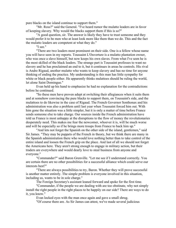pure blacks on the island continue to support them."

"Mr. Ross?" said the General. "I've heard rumor the mulatto leaders are in favor of keeping slavery. Why would the blacks support them if this is so?"

"A good question, sir. The answer is likely they have to trust someone and they would prefer it to be men who at least look more like them than we do. This and the fact the mulatto leaders are competent at what they do."

"I see."

"There are two leaders most prominent on their side. One is a fellow whose name you will have seen in my reports. Toussaint L'Ouverture is a mulatto plantation owner, who was once a slave himself, but now keeps his own slaves. From what I've seen he is the most skilled of the black leaders. The strange part is Toussaint professes to want no slavery and he has proclaimed an end to it, but it continues in areas he controls. His rival is Andre Rigaud, another mulatto who wants to keep slavery and has no time for anyone thinking of ending the practice. My understanding is this man has little sympathy for white or black people either. He apparently thinks mulattoes should be ruling the world, let alone Saint Domingue."

Evan held up his hand to emphasize he had no explanation for the contradictions before he continued.

"So these men have proven adept at switching their allegiances when it suits them and at somehow convincing the pure blacks to support them, on Toussaint's side, and the mulattoes to do likewise in the case of Rigaud. The French Governor Sonthonax and his administration was also a problem until last year when Toussaint forced him out. With him gone the situation was a little simpler, but it is only a matter of time before France sends someone else to take charge. Our sources inside the French administration have told us France is most unhappy at the disruptions to the flow of money the revolutionaries desperately need. This makes me fear the newcomer, whoever it is, will be much worse and will be especially so if he brings more troops from France to back him up."

"And lets not forget the Spanish on the other side of the island, gentlemen," said Sir James. "They may be puppets of the French in theory, but we think there are many in the Spanish administration there who would love nothing better than to take control of the entire island and loosen the French grip on the place. And last of all we should not forget the Americans here. They aren't strong enough to engage in military action, but their traders are everywhere and would dearly love to steal business from anyone and everyone."

"Commander?" said Baron Grenville. "Let me see if I understand correctly. You are certain there are no other possibilities for a successful alliance which could serve our interests best?"

"There are always possibilities to try, Baron. Whether they will prove successful is another matter entirely. The simple problem is everyone involved in this situation, including us, wants to be in sole charge."

The Foreign Secretary's assistant leaned forward and spoke for the first time.

"Commander, if the people we are dealing with are too obstinate, why not simply install the right people in the right places to be happily on our side? There are ways to do it, you know."

Evan locked eyes with the man once again and gave a small shrug.

"Of course there are. As Sir James can attest, we've made several judicious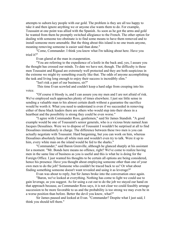attempts to suborn key people with our gold. The problem is they are all too happy to take it and then ignore anything we or anyone else wants them to do. For example, Toussaint at one point was allied with the Spanish. As soon as he got the arms and gold he wanted from them he promptly switched allegiance to the French. The other option for dealing with someone too obstinate is to find some means to have them removed and to install someone more amenable. But the thing about this island is no one trusts anyone, meaning removing someone is easier said than done."

"Come, Commander. I think you know what I'm talking about here. Have you tried it?"

Evan glared at the man in exasperation.

"You are referring to the expedience of a knife in the back and, yes, I assure you the thought has crossed our minds. To date we have not, though. The difficulty is these men Toussaint and Rigaud are extremely well protected and they are both suspicious in the extreme we might try something exactly like that. The odds of anyone accomplishing the task and living long enough to enjoy their success is incredibly slim."

"Isn't risk a part of our business, sir?"

This time Evan scowled and couldn't keep a hard edge from creeping into his voice.

"Of course it bloody is, and I can assure you my men and I are not afraid of risk. We've employed such approaches plenty of times elsewhere. I just see little sense in sending a valuable man to his almost certain death without a guarantee the sacrifice would be worth it. What you need to understand is even if we succeeded in removing either of these black leaders there are others who would step into their shoes in a heartbeat and the possibility is strong they could be even worse."

"I agree with Commander Ross, gentlemen," said Sir James Standish. "A good example would be one of Toussaint's senior generals, who is a vicious brute named Jean Jacques Dessalines. Were we to dispose of Toussaint I wouldn't be surprised at all to find Dessalines immediately in charge. The difference between these two men is you can actually negotiate with Toussaint. Hard bargaining, but you can work on him, whereas Dessalines absolutely hates all white men and wouldn't even try to talk. Were it up to him, every white man on the island would be fed to the sharks."

"Commander," said Baron Grenville, although he glanced sharply at his assistant for a moment. "Mr. Bonds here means no offence, right? We've come to realize having men in the same line of business as you is useful and this is what he is doing for the Foreign Office. I just wanted his thoughts to be certain all options are being considered, hence his presence. Have you thought about employing someone other than one of your own men to do the job? Someone who couldn't be traced back to us? Or what about finding something someone doesn't want revealed and using it as leverage?"

Evan was about to reply, but Sir James broke into the conversation once again.

"Baron, we've looked at everything. Nothing has come to light we could use to gain leverage, as you suggest. As for using a cut out to do the job we stayed our hand on that approach because, as Commander Ross says, it is not clear we could feasibly arrange succession to be more favorable to us and the probability is too strong we may even be in a worse position than before. Better the devil you know, what?"

Sir James paused and looked at Evan. "Commander? Despite what I just said, I think you should tell them."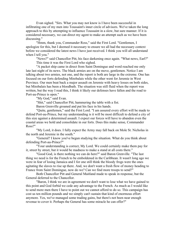Evan sighed. "Sirs. What you may not know is I have been successful in infiltrating one of my men into Toussaint's inner circle of advisors. We've taken the long approach to this by attempting to influence Toussaint in a slow, but sure manner. If it is considered necessary, we can direct my agent to make an attempt such as we have been discussing."

"Hmm, thank you, Commander Ross," said the First Lord. "Gentlemen, I apologize for this, but I deemed it necessary to ensure we all had the necessary context before we considered the latest news I have just received. I think you will all understand when I tell you."

"News?" said Chancellor Pitt, his face darkening once again. "What news, Earl?" This time it was the First Lord who sighed.

"A packet ship came in direct from Saint Domingue and word reached me only late last night of its news. The black armies are on the move, gentlemen. Notice I am talking about two armies, not one, and the report is both are large in the extreme. One has focused on our forts defending Mirebalais while the other went for Jeremie in West Province. Our men beat back a major assault on Jeremie with heavy losses on both sides, but Mirebalais has been a bloodbath. The situation was still fluid when the report was written, but the way I read this, I think it likely our defenses have fallen and the road to Port-au-Prince is open."

"My God," said Evan.

"Shit," said Chancellor Pitt, hammering the table with a fist.

Baron Grenville groaned and put his face in his hands.

"Quite, gentlemen," said the First Lord. "I am assured every effort will be made to defend Port-au-Prince, but my understanding is it will be most difficult to defend a city of this size against a determined assault. I expect our forces will have to abandon even the coastal areas we hold and consolidate in our forts. Does this make sense, Commander Ross?"

"My Lord, it does. I fully expect the Army may fall back on Mole St. Nicholas in the north and Jeremie in the south."

"General? I know you've begun studying the situation. What do you think about defending Port-au-Prince?"

"Your understanding is correct, My Lord. We could certainly make them pay for it, street by street, but it would be madness to make a stand at all costs there."

"Good God, is there nothing we can do here?" said Baron Grenville. "The last thing we need is for the French to be emboldened in the Caribbean. It wasn't long ago we were in fear of losing Jamaica and I for one still think the bloody frogs were the ones agitating the slaves to rise up there. And, we don't want a fresh flow of money heading to France from Saint Domingue, now do we? Can we find more troops to send?"

Both Chancellor Pitt and General Maitland made to speak in response, but the General deferred to the Chancellor.

"Baron, I think we are in agreement we don't want to lose what we have gained to this point and God forbid we cede any advantage to the French. As much as I would like to send more men there I have to point out we cannot afford to do so. This campaign has cost us ten million pounds and we simply can't sustain that kind of enormous effort anymore. Yes, we've managed some trading gains, but there's not been near enough revenue to cover it. Perhaps the General has some miracle he can offer?"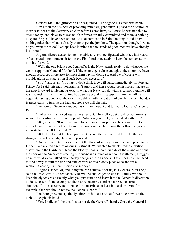General Maitland grimaced as he responded. The edge to his voice was harsh.

"I'm not in the business of providing miracles, gentlemen. I posed the question of more resources to the Secretary at War before I came here, as I knew he was not able to attend today, and his answer was no. Our forces are fully committed and there is nothing to spare. So yes, I have been ordered to take command in Saint Domingue and I have nothing other than what is already there to get the job done. The question, though, is what do you want me to do? Perhaps bear in mind the thousands of good men we have already lost there."

A glum silence descended on the table as everyone digested what they had heard. After several long moments it fell to the First Lord once again to keep the conversation moving forward.

"Well, the one bright spot I can offer is the Navy stands ready to do whatever we can in support of General Maitland. If the enemy gets close enough to the shore, we have enough resources in the area to make them pay for doing so. And we of course will provide aid in an evacuation if such becomes necessary."

"Sirs?" said Evan. "If I may, I don't think they will strike immediately for Port-au-Prince. As I said, this man Toussaint isn't stupid and these would be his forces that are on the march toward it. He knows exactly what our Navy can do with its cannons and he will want to rest his men if the fighting has been as brutal as I suspect. I think he will try to negotiate taking control of the city. It would fit with the pattern of past behavior. The idea is make gains to turn up the heat and hope we will despair."

The Foreign Secretary rubbed his chin in thought and turned to look at Chancellor Pitt.

"Parliament just voted against any pullout, Chancellor, but the direction matters seem to be heading is the exact opposite. What do you think, can we deal with this?"

Pitt grimaced. "If we don't want to get handed our political heads we need to find a way to gain some sort of win from this bloody mess. But I don't think this changes our interests here. Shall I elaborate?"

Pitt looked first at the Foreign Secretary and then at the First Lord. Both men shrugged to acknowledge he should proceed.

"Our original interests were to cut the flood of money from this damn place to the French. We wanted a return on our investment. We wanted to check French ambition elsewhere in the Caribbean. Keep the bloody Spanish on their side of the island and shut the door on the Americans stealing our business as much as we can. Gentlemen, I suggest none of what we've talked about today changes those as goals. If at all possible, we need to find a way to turn the tide and take control of this bloody place once and for all, without it costing us more in men and money."

"I agree Chancellor, and if anyone can achieve it for us, it is General Maitland," said the First Lord. "But realistically he will be challenged to do that. I think we should keep the objectives as exactly what you just stated and leave it to the General's discretion to do as he sees fit to accomplish them once he arrives and can assess the current situation. If it's necessary to evacuate Port-au-Prince, at least in the short term, for example, then we should not tie the General's hands."

The Foreign Secretary finally stirred in his seat and sat forward, elbows on the table to steeple his hands.

"Yes, I believe I like this. Let us not tie the General's hands. Once the General is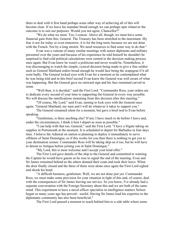there to deal with it first hand perhaps some other way of achieving all of this will become clear. If we leave his mandate broad enough we can perhaps spin whatever the outcome is to suit our purposes. Would you not agree, Chancellor?"

"We do what we must. Yes, I concur. Above all, though, we must have some financial gain from this, General. The Treasury has been stretched to the maximum. My fear is not for today or even tomorrow, it is for the long term, because we are not done with the French. Not by a long stretch. We need resources to find some way to do that."

Evan was a veteran of many similar meetings with senior diplomats and military personnel over the years and because of his experience he told himself he shouldn't be surprised to find cold political calculations were central to the decision making process once again. But Evan knew he wasn't a politician and never would be. Nonetheless, it was discouraging to watch the simple, cynical decision being made to give a fine soldier such as General Maitland orders broad enough he would face being the scapegoat if it all went badly. The General locked eyes with Evan for a moment as he contemplated what he was being told and in this brief second Evan knew the General was well aware of what was happening. But the General gave no outward sign and his face remained carved in stone.

"Well then, it is decided," said the First Lord. "Commander Ross, your orders are to dedicate every second of your time to supporting the General in every way possible. We will discuss the ramifications stemming from this decision after this meeting."

"Of course, My Lord," said Evan, turning to lock eyes with the General once again. "General Maitland, my men and I will do whatever it takes to support you."

The General remained silent for a moment, but gave a brief nod to Evan before speaking.

"Gentlemen, is there anything else? If not, I have much to do before I leave and, under the circumstances, I think it best I depart as soon as possible."

"I can help with that too, General," said the First Lord. "I have a frigate taking on supplies in Portsmouth at the moment. It is scheduled to depart for Barbados in four days time. I believe the Admiral on station is planning to deploy it immediately to serve offshore of Saint Domingue, so if this works for you then there is nothing to get you to your destination sooner. Commander Ross will be taking ship on it too, but he will have to detour to Antigua before joining you in Saint Domingue."

"My Lord, this is most welcome and I accept your kind offer."

The First Lord gave details of the ship to the General and committed to warning the Captain he would have guests as he rose to signal the end of the meeting. Evan and Sir James remained behind as the others donned their coats and took their leave. When the door finally closed and the three of them were alone once again the First Lord sighed and shook his head.

"A difficult business, gentlemen. Well, we are not done just yet. Commander Ross, we must make some provision for your situation in light of this and, of course, deal with the consequences of Sir James leaving our service. So you know, I've already had a separate conversation with the Foreign Secretary about this and we are both of the same mind. This experiment to have a naval officer specialize in intelligence matters Nelson began so many years ago has proved—useful. Having Sir James lend his expertise to the diplomatic community has also been beneficial."

The First Lord paused a moment to reach behind him to a side table where some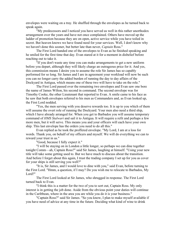envelopes were waiting on a tray. He shuffled through the envelopes as he turned back to speak again.

"My predecessors and I noticed you have served us well in this rather unorthodox arrangement over the years and have not once complained. Others have moved up the ladder of promotion because they are on open, active service while you have toiled in secret. But heaven knows we have found need for your services. Well, I don't know why we haven't done this sooner, but better late than never, *Captain* Ross."

The First Lord handed one of the envelopes to Evan as he finished speaking and he smiled for the first time that day. Evan stared at it for a moment in disbelief before reaching out to take it.

"If you don't waste any time you can make arrangements to get a new uniform before you depart, although they will likely charge an outrageous price for it. And yes, this commission means I desire you to assume the role Sir James has so capably performed for so long. Sir James and I are in agreement your workload will now be such you can no longer carry the added burden of running the day to day affairs of the Dockyard in Antigua, which means one of these two will have to take on the role."

The First Lord passed over the remaining two envelopes and Evan saw one bore the name of James Wilton, his second in command. The second envelope was for Timothy Cooke, the other Lieutenant that reported to Evan. A smile came to his face as he saw that both envelopes referred to his men as Commanders and, as Evan looked up, the First Lord nodded.

"Yes, the men serving with you deserve rewards too. It is up to you which of them will assume the overt role of running the Dockyard. Your men also need a third ship, which I have already arranged for. When you get to Barbados you will assume temporary command of *HMS Stalwart* and sail it to Antigua. It will require a refit and perhaps a few more men, but it will serve. This means you and your officers will each have your own ship. This last envelope has the orders you need to do all this."

Evan replied as he took the proffered envelope. "My Lord, I am at a loss for words. Thank you, on behalf of my officers and myself. We will do everything we can to reward your trust in us."

"Good, because I fully expect it."

"I will be staying on in London a little longer, so perhaps we can dine together tonight Comm—ah, Captain Ross?" said Sir James, laughing at himself. "Using your new title will take some getting used to. But we have much to discuss about the transition. And before I forget about this again, I trust the trading company I set up for you as cover for your ships is still serving you well?"

"It is, Sir James, and I would love to dine with you," said Evan, before turning to the First Lord. "Hmm, a question, if I may? Do you wish me to relocate to Barbados, My Lord?"

The First Lord looked at Sir James, who shrugged in response. The First Lord turned back to Evan.

"I think this is a matter for the two of you to sort out, Captain Ross. My only interest is in getting the job done. Aside from the obvious point your duties will continue in the Caribbean, where in the area you are while you do it is your business."

"Captain Ross?" said Sir James. "So you know, I plan to make myself available if you have need of advice at any time in the future. Deciding what kind of wine to drink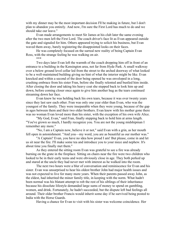with my dinner may be the most important decision I'll be making in future, but I don't plan to abandon you entirely. And now, I'm sure the First Lord has much to do and we should take our leave."

Evan made arrangements to meet Sir James at his club later the same evening after the two men left the First Lord. The coach driver's face lit as Evan appeared outside the gate and signaled for him. Others appeared trying to solicit his business, but Evan waved them away, barely registering the disappointed looks on their faces.

He was completely focused on the surreal new reality of being Captain Evan Ross, with the strange feeling he was walking on air.

\*\*\*

Two days later Evan left the warmth of the coach dropping him off in front of an entrance to a building in the Kensington area, not far from Hyde Park. A small walkway over a below ground level cellar led from the street to the arched doorway of what looked to be a well-maintained building giving no hint of what the interior might be like. Evan knocked and within a second of the door being opened he was enveloped in a long, crushing embrace from his sister Fran, before she finally relented and bustled him inside. After closing the door and taking his heavy coat she stepped back to look him up and down, before coming closer once again to give him another hug as the tears continued streaming down her face.

Evan knew he was holding back his own tears, because it was over twenty years since they last saw each other. Fran was only one year older than Evan, who was the youngest of the family. They were inseparable when they were young, because of the gap in ages between them and their two older brothers. Evan knew with his mother gone there was no woman Evan loved more than his sister, with the exception of his own wife Alice.

"My God, Evan," said Fran, finally stepping back to hold him at arms length. "You've grown so much, I hardly recognize you. You are not the young midshipman I remember any more."

"No, I am a Captain now, believe it or not," said Evan with a grin, as her mouth fell open in astonishment. "And you—my word, you are as beautiful as our mother was."

"A Captain? Evan, you have no idea how proud I am! But please, come in and let us sit near the fire. I'll make some tea and introduce you to your niece and nephew. It's about time you finally met them."

As they entered the sitting room Evan was grateful to see a fire was already burning on the grate in the fireplace. Sitting on chairs near the fire were two children who looked to be in their early teens and were obviously close in age. They both perked up and stared at the uncle they had never met with interest as he walked into the room.

The next two hours were a blur of conversation and reminiscence for Evan and his sister. Evan was unsurprised to hear his oldest brother John had major health issues and was not expected to live for many more years. When their parents passed away John, as the eldest, had inherited the minor family title, in keeping with the norm. What hadn't been normal was his blatant attempt to rob the rest of his siblings of their inheritance because his dissolute lifestyle demanded large sums of money to spend on gambling, women, and drink. Fortunately, he hadn't succeeded, but the dispute left bad feelings all around. Their older brother Francis would inherit some day if he survived being posted to India with the Horse Guards.

Having a chance for Evan to visit with his sister was welcome coincidence. Her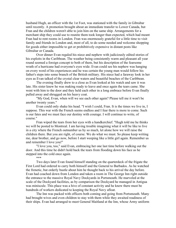husband Hugh, an officer with the 1st Foot, was stationed with the family in Gibraltar until recently. A promotion brought about an immediate transfer to Lower Canada, but Fran and the children weren't able to join him on the same ship. Arrangements for a merchant ship they could use to reunite them took longer than expected, which had meant Fran had to rent rooms in London. Fran was enormously grateful for a little time to visit family and friends in London and, most of all, to do some needed and welcome shopping for goods either impossible to get or prohibitively expensive in distant posts like Gibraltar or Canada.

Over dinner Evan regaled his niece and nephew with judiciously edited stories of his exploits in the Caribbean. The weather being consistently warm and pleasant all year round seemed a foreign concept to both of them, but his description of the fearsome wrath of a hurricane had everyone's eyes wide. Evan could see his nephew was hanging on every word of his experiences and he was certain the young man would follow his father's steps into some branch of the British military. His niece had a faraway look in her eyes as Evan talked of the crystal clear waters and beautiful beaches of the Caribbean.

The evening finally drew to a close as Evan looked at his watch and saw it was late. His sister knew he was making ready to leave and once again the tears came. She went with him to the door and they held each other in a long embrace before Evan finally pulled away and shrugged on his heavy coat.

"My God, Evan, when will we see each other again? Please tell me it won't be another twenty years."

Evan could only shake his head. "I wish I could, Fran. It is the times we live in, I suppose. This war with the French seems endless and I fear there is more to come. Such is our fates and we must face our destiny with courage. I will continue to write, of course."

Fran wiped the tears from her eyes with a handkerchief. "Hugh told me he thinks we will be posted to Montreal. I am having trouble imagining what it will be like to live in a city where the French outnumber us by so much, let alone how we will raise the children there. But you are right, of course. We do what we must. So please keep writing me, dear brother, and go now, before I start weeping like a little girl again. Remember us and remember I love you!"

"I love you, too," said Evan, embracing her one last time before walking out the door. And this time he didn't hold back the tears from flooding down his face as he stepped into the cold once again.

\*\*\*

Two days later Evan found himself standing on the quarterdeck of the frigate the First Lord had ordered to carry both himself and the General to Barbados. As he watched the frenetic, but orderly bustle about him he thought back to his arrival the day before. Evan had coached down from London and taken a room in The George Inn right outside the entrance to the massive Royal Navy Dockyards in Portsmouth. He marveled at the scale of the Dockyard facilities, as by comparison the Dockyard he managed in Antigua was miniscule. This place was a hive of constant activity and he knew there must be hundreds of workers dedicated to keeping the Royal Navy afloat.

The Inn was packed with officers both coming and going from Portsmouth. Many had brought wives and even children to stay with them while they awaited readiness of their ships. Evan had arranged to meet General Maitland at the Inn, whose Army uniform